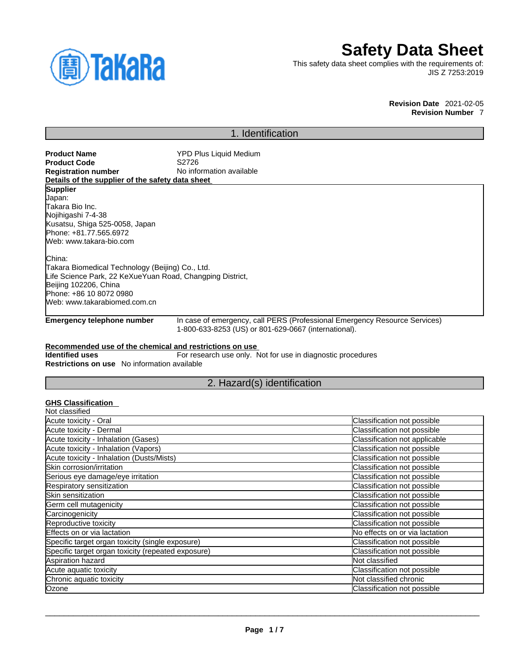

# **Safety Data Sheet**

This safety data sheet complies with the requirements of: JIS Z 7253:2019

> **Revision Date** 2021-02-05 **Revision Number** 7

## 1. Identification

**Product Name**<br> **Product Code**<br> **Product Code**<br> **S2726 Product Code**<br>Registration number **No information available Details of the supplier of the safety data sheet Emergency telephone number** In case of emergency, call PERS (Professional Emergency Resource Services) 1-800-633-8253 (US) or 801-629-0667 (international). **Recommended use of the chemical and restrictions on use Identified uses** For research use only. Not for use in diagnostic procedures **Restrictions on use** No information available 2. Hazard(s) identification **GHS Classification Supplier** Japan: Takara Bio Inc. Nojihigashi 7-4-38 Kusatsu, Shiga 525-0058, Japan Phone: +81.77.565.6972 Web: www.takara-bio.com China: Takara Biomedical Technology (Beijing) Co., Ltd. Life Science Park, 22 KeXueYuan Road, Changping District, Beijing 102206, China Phone: +86 10 8072 0980 Web: www.takarabiomed.com.cn

| Not classified                                     |                                |
|----------------------------------------------------|--------------------------------|
| Acute toxicity - Oral                              | Classification not possible    |
| Acute toxicity - Dermal                            | Classification not possible    |
| Acute toxicity - Inhalation (Gases)                | Classification not applicable  |
| Acute toxicity - Inhalation (Vapors)               | Classification not possible    |
| Acute toxicity - Inhalation (Dusts/Mists)          | Classification not possible    |
| Skin corrosion/irritation                          | Classification not possible    |
| Serious eye damage/eye irritation                  | Classification not possible    |
| Respiratory sensitization                          | Classification not possible    |
| Skin sensitization                                 | Classification not possible    |
| Germ cell mutagenicity                             | Classification not possible    |
| Carcinogenicity                                    | Classification not possible    |
| Reproductive toxicity                              | Classification not possible    |
| Effects on or via lactation                        | No effects on or via lactation |
| Specific target organ toxicity (single exposure)   | Classification not possible    |
| Specific target organ toxicity (repeated exposure) | Classification not possible    |
| Aspiration hazard                                  | Not classified                 |
| Acute aquatic toxicity                             | Classification not possible    |
| Chronic aquatic toxicity                           | Not classified chronic         |
| Ozone                                              | Classification not possible    |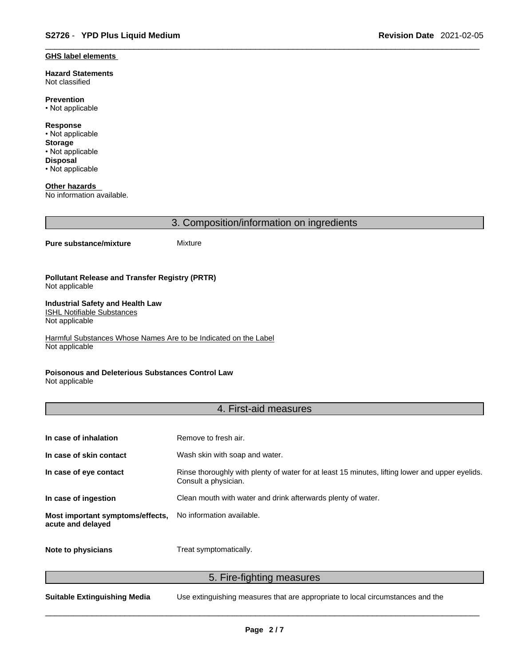#### **GHS label elements**

**Hazard Statements**  Not classified

**Prevention** • Not applicable

**Response** • Not applicable **Storage** • Not applicable **Disposal** • Not applicable

**Other hazards**  No information available.

3. Composition/information on ingredients

#### **Pure substance/mixture** Mixture

**Pollutant Release and Transfer Registry (PRTR)** Not applicable

#### **Industrial Safety and Health Law**  ISHL Notifiable Substances

Not applicable

Harmful Substances Whose Names Are to be Indicated on the Label Not applicable

#### **Poisonous and Deleterious Substances Control Law**

Not applicable

#### 4. First-aid measures

| In case of inhalation                                 | Remove to fresh air.                                                                                                    |
|-------------------------------------------------------|-------------------------------------------------------------------------------------------------------------------------|
| In case of skin contact                               | Wash skin with soap and water.                                                                                          |
| In case of eye contact                                | Rinse thoroughly with plenty of water for at least 15 minutes, lifting lower and upper eyelids.<br>Consult a physician. |
| In case of ingestion                                  | Clean mouth with water and drink afterwards plenty of water.                                                            |
| Most important symptoms/effects,<br>acute and delayed | No information available.                                                                                               |
| Note to physicians                                    | Treat symptomatically.                                                                                                  |

5. Fire-fighting measures

**Suitable Extinguishing Media** Use extinguishing measures that are appropriate to local circumstances and the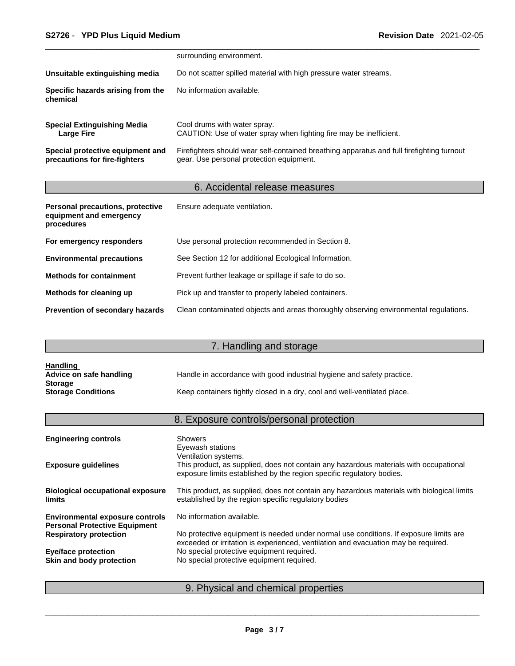|                                                                   | surrounding environment.                                                                                                              |
|-------------------------------------------------------------------|---------------------------------------------------------------------------------------------------------------------------------------|
| Unsuitable extinguishing media                                    | Do not scatter spilled material with high pressure water streams.                                                                     |
| Specific hazards arising from the<br>chemical                     | No information available.                                                                                                             |
| <b>Special Extinguishing Media</b><br>Large Fire                  | Cool drums with water spray.<br>CAUTION: Use of water spray when fighting fire may be inefficient.                                    |
| Special protective equipment and<br>precautions for fire-fighters | Firefighters should wear self-contained breathing apparatus and full firefighting turnout<br>gear. Use personal protection equipment. |

# 6. Accidental release measures

| Personal precautions, protective<br>equipment and emergency<br>procedures | Ensure adequate ventilation.                                                         |
|---------------------------------------------------------------------------|--------------------------------------------------------------------------------------|
| For emergency responders                                                  | Use personal protection recommended in Section 8.                                    |
| <b>Environmental precautions</b>                                          | See Section 12 for additional Ecological Information.                                |
| <b>Methods for containment</b>                                            | Prevent further leakage or spillage if safe to do so.                                |
| Methods for cleaning up                                                   | Pick up and transfer to properly labeled containers.                                 |
| <b>Prevention of secondary hazards</b>                                    | Clean contaminated objects and areas thoroughly observing environmental regulations. |

# 7. Handling and storage

| <b>Handling</b>           |                                                                          |
|---------------------------|--------------------------------------------------------------------------|
| Advice on safe handling   | Handle in accordance with good industrial hygiene and safety practice.   |
| <b>Storage</b>            |                                                                          |
| <b>Storage Conditions</b> | Keep containers tightly closed in a dry, cool and well-ventilated place. |

# 8. Exposure controls/personal protection

| <b>Engineering controls</b>                                                    | <b>Showers</b><br>Eyewash stations<br>Ventilation systems.                                                                                                                  |
|--------------------------------------------------------------------------------|-----------------------------------------------------------------------------------------------------------------------------------------------------------------------------|
| <b>Exposure guidelines</b>                                                     | This product, as supplied, does not contain any hazardous materials with occupational<br>exposure limits established by the region specific regulatory bodies.              |
| <b>Biological occupational exposure</b><br><b>limits</b>                       | This product, as supplied, does not contain any hazardous materials with biological limits<br>established by the region specific regulatory bodies                          |
| <b>Environmental exposure controls</b><br><b>Personal Protective Equipment</b> | No information available.                                                                                                                                                   |
| <b>Respiratory protection</b>                                                  | No protective equipment is needed under normal use conditions. If exposure limits are<br>exceeded or irritation is experienced, ventilation and evacuation may be required. |
| <b>Eye/face protection</b>                                                     | No special protective equipment required.                                                                                                                                   |
| Skin and body protection                                                       | No special protective equipment required.                                                                                                                                   |
|                                                                                |                                                                                                                                                                             |

# 9. Physical and chemical properties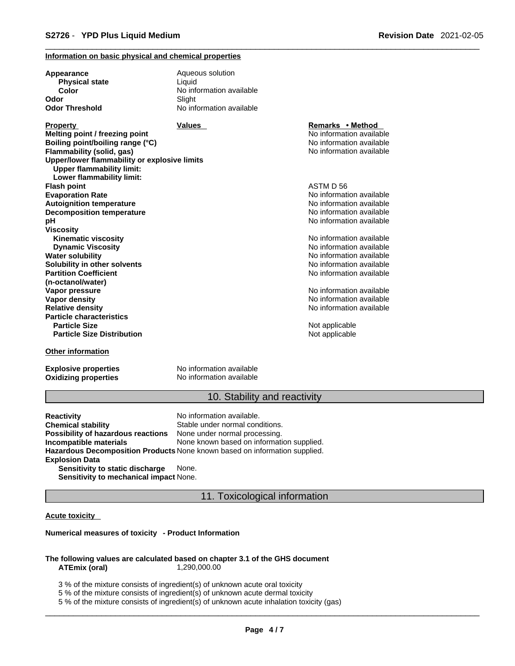#### **Information on basic physical and chemical properties**

| Appearance                                                                       | Aqueous solution         |                          |  |
|----------------------------------------------------------------------------------|--------------------------|--------------------------|--|
| <b>Physical state</b>                                                            | Liquid                   |                          |  |
| Color                                                                            | No information available |                          |  |
| Odor                                                                             | Slight                   |                          |  |
| Odor Threshold                                                                   | No information available |                          |  |
| <b>Property</b>                                                                  | Values                   | Remarks • Method         |  |
| Melting point / freezing point                                                   |                          | No information available |  |
| Boiling point/boiling range (°C)                                                 |                          | No information available |  |
| Flammability (solid, gas)                                                        |                          | No information available |  |
| Upper/lower flammability or explosive limits<br><b>Upper flammability limit:</b> |                          |                          |  |
| Lower flammability limit:                                                        |                          |                          |  |
| Flash point                                                                      |                          | ASTM D 56                |  |
| <b>Evaporation Rate</b>                                                          |                          | No information available |  |
| <b>Autoignition temperature</b>                                                  |                          | No information available |  |
| <b>Decomposition temperature</b>                                                 |                          | No information available |  |
| pН                                                                               |                          | No information available |  |
| <b>Viscosity</b>                                                                 |                          |                          |  |
| <b>Kinematic viscosity</b>                                                       |                          | No information available |  |
| <b>Dynamic Viscosity</b>                                                         |                          | No information available |  |
| <b>Water solubility</b>                                                          |                          | No information available |  |
| Solubility in other solvents                                                     |                          | No information available |  |
| <b>Partition Coefficient</b>                                                     |                          | No information available |  |
| (n-octanol/water)                                                                |                          |                          |  |
| Vapor pressure                                                                   |                          | No information available |  |
| Vapor density                                                                    |                          | No information available |  |
| <b>Relative density</b>                                                          |                          | No information available |  |
| <b>Particle characteristics</b>                                                  |                          |                          |  |
| <b>Particle Size</b>                                                             |                          | Not applicable           |  |
| <b>Particle Size Distribution</b>                                                |                          | Not applicable           |  |
| Other information                                                                |                          |                          |  |
|                                                                                  |                          |                          |  |

**Oxidizing properties** 

**Explosive properties**<br> **Oxidizing properties**<br>
No information available

#### 10. Stability and reactivity

**Reactivity Reactivity Reactivity Chemical stability No information available.**<br> **Chemical stability Reaction** Stable under normal cond Stable under normal conditions.<br>None under normal processing. **Possibility of hazardous reactions Incompatible materials** None known based on information supplied. **Hazardous Decomposition Products** None known based on information supplied. **Explosion Data Sensitivity to static discharge** None.

**Sensitivity to mechanical impact** None.

#### 11. Toxicological information

#### **Acute toxicity**

#### **Numerical measures of toxicity - Product Information**

#### **The following values are calculated based on chapter 3.1 of the GHS document ATEmix (oral)** 1,290,000.00

3 % of the mixture consists of ingredient(s) of unknown acute oral toxicity

5 % of the mixture consists of ingredient(s) of unknown acute dermal toxicity

5 % of the mixture consists of ingredient(s) of unknown acute inhalation toxicity (gas)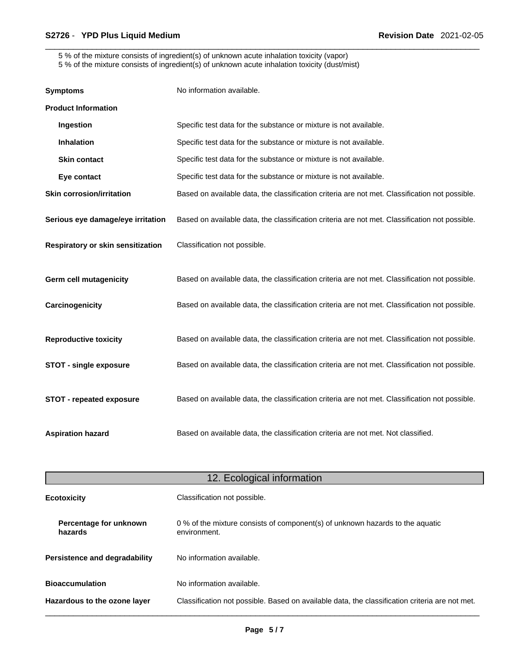5 % of the mixture consists of ingredient(s) of unknown acute inhalation toxicity (vapor)

5 % of the mixture consists of ingredient(s) of unknown acute inhalation toxicity (dust/mist)

| <b>Symptoms</b>                   | No information available.                                                                      |
|-----------------------------------|------------------------------------------------------------------------------------------------|
| <b>Product Information</b>        |                                                                                                |
| Ingestion                         | Specific test data for the substance or mixture is not available.                              |
| <b>Inhalation</b>                 | Specific test data for the substance or mixture is not available.                              |
| <b>Skin contact</b>               | Specific test data for the substance or mixture is not available.                              |
| Eye contact                       | Specific test data for the substance or mixture is not available.                              |
| <b>Skin corrosion/irritation</b>  | Based on available data, the classification criteria are not met. Classification not possible. |
| Serious eye damage/eye irritation | Based on available data, the classification criteria are not met. Classification not possible. |
| Respiratory or skin sensitization | Classification not possible.                                                                   |
| <b>Germ cell mutagenicity</b>     | Based on available data, the classification criteria are not met. Classification not possible. |
| Carcinogenicity                   | Based on available data, the classification criteria are not met. Classification not possible. |
| <b>Reproductive toxicity</b>      | Based on available data, the classification criteria are not met. Classification not possible. |
| <b>STOT - single exposure</b>     | Based on available data, the classification criteria are not met. Classification not possible. |
| <b>STOT - repeated exposure</b>   | Based on available data, the classification criteria are not met. Classification not possible. |
| <b>Aspiration hazard</b>          | Based on available data, the classification criteria are not met. Not classified.              |

| 12. Ecological information        |                                                                                                |  |
|-----------------------------------|------------------------------------------------------------------------------------------------|--|
| <b>Ecotoxicity</b>                | Classification not possible.                                                                   |  |
| Percentage for unknown<br>hazards | 0 % of the mixture consists of component(s) of unknown hazards to the aquatic<br>environment.  |  |
| Persistence and degradability     | No information available.                                                                      |  |
| <b>Bioaccumulation</b>            | No information available.                                                                      |  |
| Hazardous to the ozone layer      | Classification not possible. Based on available data, the classification criteria are not met. |  |
|                                   |                                                                                                |  |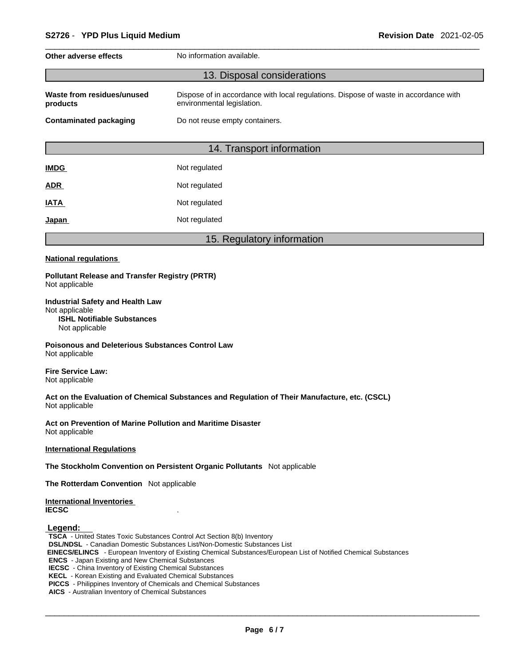| No information available.<br>Other adverse effects                                                                                                           |               |  |  |  |
|--------------------------------------------------------------------------------------------------------------------------------------------------------------|---------------|--|--|--|
| 13. Disposal considerations                                                                                                                                  |               |  |  |  |
| Waste from residues/unused<br>Dispose of in accordance with local regulations. Dispose of waste in accordance with<br>environmental legislation.<br>products |               |  |  |  |
| <b>Contaminated packaging</b><br>Do not reuse empty containers.                                                                                              |               |  |  |  |
|                                                                                                                                                              |               |  |  |  |
| 14. Transport information                                                                                                                                    |               |  |  |  |
| <b>IMDG</b>                                                                                                                                                  | Not regulated |  |  |  |
| <b>ADR</b>                                                                                                                                                   | Not regulated |  |  |  |
| Not regulated<br><b>IATA</b>                                                                                                                                 |               |  |  |  |
| Japan                                                                                                                                                        | Not regulated |  |  |  |
|                                                                                                                                                              |               |  |  |  |

### 15. Regulatory information

#### **National regulations**

#### **Pollutant Release and Transfer Registry (PRTR)** Not applicable

**Industrial Safety and Health Law** Not applicable **ISHL Notifiable Substances** Not applicable

**Poisonous and Deleterious Substances Control Law** Not applicable

**Fire Service Law:** Not applicable

**Act on the Evaluation of Chemical Substances and Regulation of Their Manufacture, etc. (CSCL)** Not applicable

**Act on Prevention of Marine Pollution and Maritime Disaster** Not applicable

**International Regulations**

**The Stockholm Convention on Persistent Organic Pollutants** Not applicable

**The Rotterdam Convention** Not applicable

**International Inventories IECSC** .

 **Legend:** 

**TSCA** - United States Toxic Substances Control Act Section 8(b) Inventory **DSL/NDSL** - Canadian Domestic Substances List/Non-Domestic Substances List

 **EINECS/ELINCS** - European Inventory of Existing Chemical Substances/European List of Notified Chemical Substances

**ENCS** - Japan Existing and New Chemical Substances

**IECSC** - China Inventory of Existing Chemical Substances

**KECL** - Korean Existing and Evaluated Chemical Substances

**PICCS** - Philippines Inventory of Chemicals and Chemical Substances

**AICS** - Australian Inventory of Chemical Substances